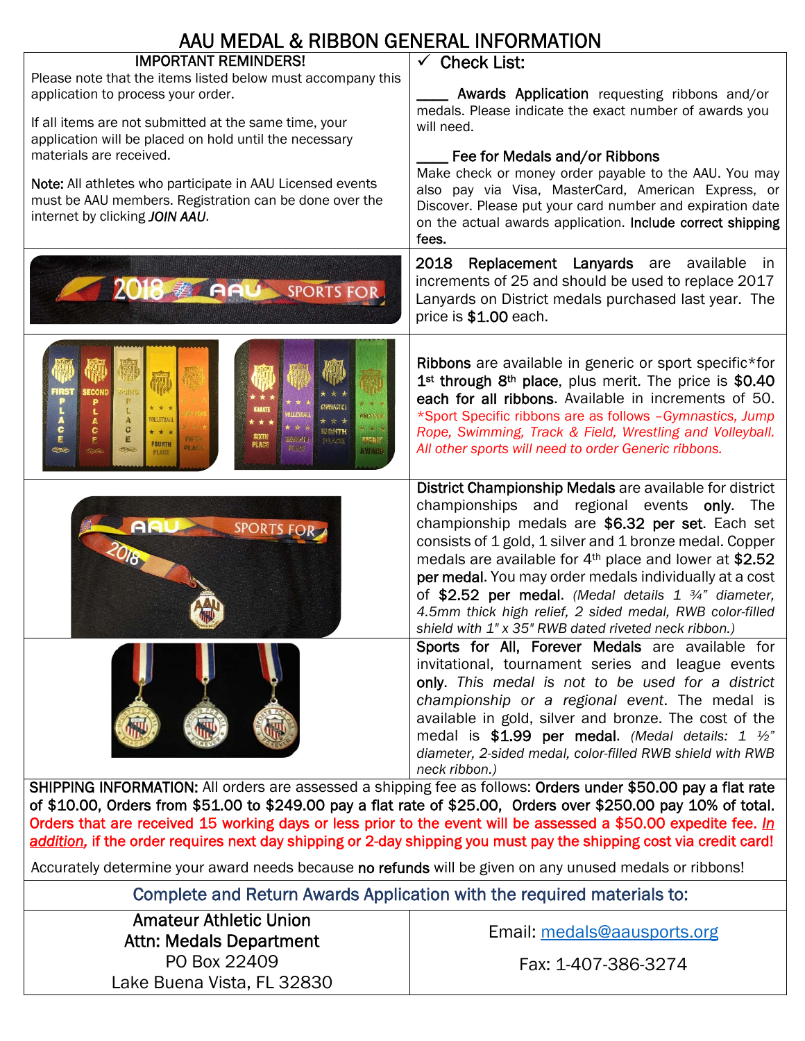| AAU MEDAL & RIBBON GENERAL INFORMATION                                                                                                                                                                                                                                                                                                                                                                                                  |                                                                                                                                                                                                                                                                                                                                                                                                                                                                                                                                             |  |  |  |  |  |
|-----------------------------------------------------------------------------------------------------------------------------------------------------------------------------------------------------------------------------------------------------------------------------------------------------------------------------------------------------------------------------------------------------------------------------------------|---------------------------------------------------------------------------------------------------------------------------------------------------------------------------------------------------------------------------------------------------------------------------------------------------------------------------------------------------------------------------------------------------------------------------------------------------------------------------------------------------------------------------------------------|--|--|--|--|--|
| <b>IMPORTANT REMINDERS!</b><br>Please note that the items listed below must accompany this<br>application to process your order.<br>If all items are not submitted at the same time, your<br>application will be placed on hold until the necessary<br>materials are received.<br>Note: All athletes who participate in AAU Licensed events<br>must be AAU members. Registration can be done over the<br>internet by clicking JOIN AAU. | $\checkmark$ Check List:<br>Awards Application requesting ribbons and/or<br>medals. Please indicate the exact number of awards you<br>will need.<br>Fee for Medals and/or Ribbons<br>Make check or money order payable to the AAU. You may<br>also pay via Visa, MasterCard, American Express, or<br>Discover. Please put your card number and expiration date<br>on the actual awards application. Include correct shipping<br>fees.                                                                                                       |  |  |  |  |  |
| 2018 ELAN SPORTS FOR                                                                                                                                                                                                                                                                                                                                                                                                                    | 2018 Replacement Lanyards are available in<br>increments of 25 and should be used to replace 2017<br>Lanyards on District medals purchased last year. The<br>price is \$1.00 each.                                                                                                                                                                                                                                                                                                                                                          |  |  |  |  |  |
| <b>ECON</b><br>40<br>RESTOR<br><b>LLEYBAI</b><br>c<br>c<br><b>MONTH</b><br>sam<br>直<br>頭部調子<br><b>Pilot</b><br>图象部<br><b>FOURTH</b><br>PLAC!<br><b>PLAC</b><br>容实理<br>65<br>AWARD<br>PLACE                                                                                                                                                                                                                                              | Ribbons are available in generic or sport specific*for<br>1 <sup>st</sup> through 8 <sup>th</sup> place, plus merit. The price is \$0.40<br>each for all ribbons. Available in increments of 50.<br>*Sport Specific ribbons are as follows -Gymnastics, Jump<br>Rope, Swimming, Track & Field, Wrestling and Volleyball.<br>All other sports will need to order Generic ribbons.                                                                                                                                                            |  |  |  |  |  |
| AR<br>SPORTS FOR                                                                                                                                                                                                                                                                                                                                                                                                                        | District Championship Medals are available for district<br>championships and regional events only. The<br>championship medals are \$6.32 per set. Each set<br>consists of 1 gold, 1 silver and 1 bronze medal. Copper<br>medals are available for 4 <sup>th</sup> place and lower at \$2.52<br>per medal. You may order medals individually at a cost<br>of \$2.52 per medal. (Medal details $1\frac{3}{4}$ " diameter,<br>4.5mm thick high relief, 2 sided medal, RWB color-filled<br>shield with 1" x 35" RWB dated riveted neck ribbon.) |  |  |  |  |  |
| SHIPPING INFORMATION: All orders are assessed a shipping fee as follows: Orders under \$50.00 pay a flat rate                                                                                                                                                                                                                                                                                                                           | Sports for All, Forever Medals are available for<br>invitational, tournament series and league events<br>only. This medal is not to be used for a district<br>championship or a regional event. The medal is<br>available in gold, silver and bronze. The cost of the<br>medal is \$1.99 per medal. (Medal details: 1 $\frac{1}{2}$ "<br>diameter, 2-sided medal, color-filled RWB shield with RWB<br>neck ribbon.)                                                                                                                         |  |  |  |  |  |

of \$10.00, Orders from \$51.00 to \$249.00 pay a flat rate of \$25.00, Orders over \$250.00 pay 10% of total. Orders that are received 15 working days or less prior to the event will be assessed a \$50.00 expedite fee. *In addition,* if the order requires next day shipping or 2-day shipping you must pay the shipping cost via credit card!

Accurately determine your award needs because no refunds will be given on any unused medals or ribbons!

Complete and Return Awards Application with the required materials to:

Amateur Athletic Union Attn: Medals Department PO Box 22409 Lake Buena Vista, FL 32830

Email: medals@aausports.org

Fax: 1-407-386-3274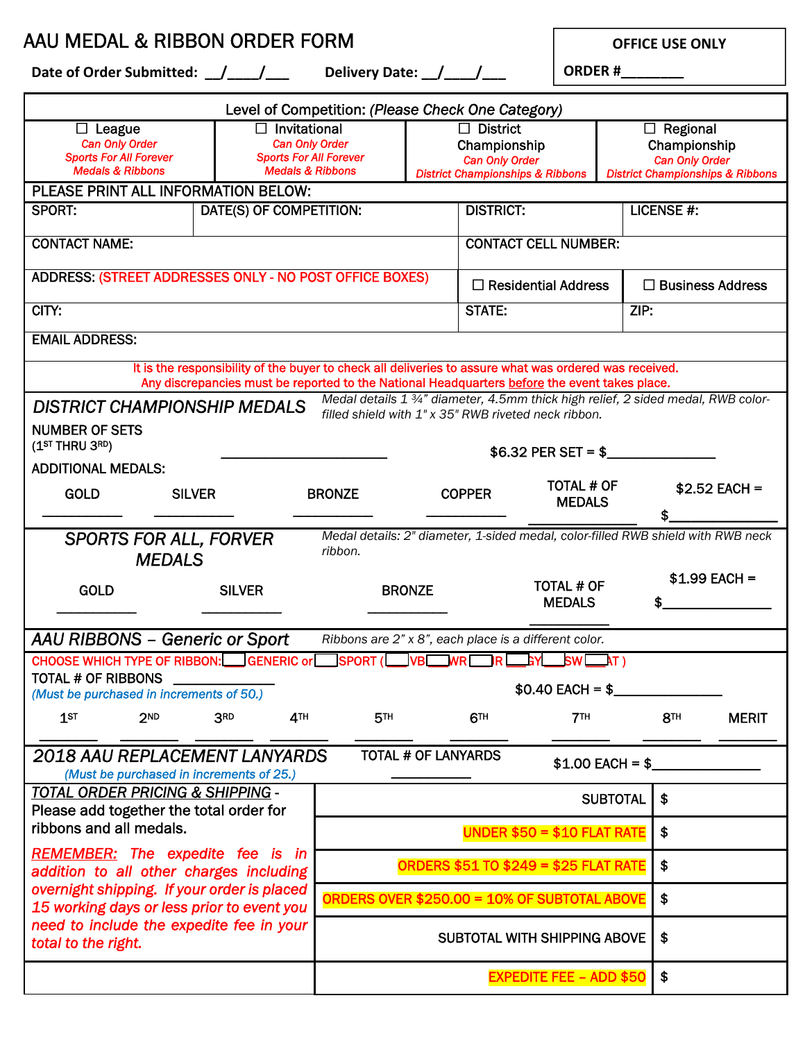AAU MEDAL & RIBBON ORDER FORM

**OFFICE USE ONLY** 

Date of Order Submitted: \_\_/\_\_\_\_/\_\_\_ Delivery Date: \_\_/\_\_\_\_/\_\_\_

**ORDER #\_\_\_\_\_\_\_\_**

| Level of Competition: (Please Check One Category)                                                                                                                                                       |                                                                                                              |                                                       |                                                                                                         |                                    |                        |                                                                                                         |                   |  |
|---------------------------------------------------------------------------------------------------------------------------------------------------------------------------------------------------------|--------------------------------------------------------------------------------------------------------------|-------------------------------------------------------|---------------------------------------------------------------------------------------------------------|------------------------------------|------------------------|---------------------------------------------------------------------------------------------------------|-------------------|--|
| $\Box$ League<br><b>Can Only Order</b><br><b>Sports For All Forever</b><br><b>Medals &amp; Ribbons</b>                                                                                                  | $\Box$ Invitational<br><b>Can Only Order</b><br><b>Sports For All Forever</b><br><b>Medals &amp; Ribbons</b> |                                                       | $\Box$ District<br>Championship<br><b>Can Only Order</b><br><b>District Championships &amp; Ribbons</b> |                                    |                        | $\Box$ Regional<br>Championship<br><b>Can Only Order</b><br><b>District Championships &amp; Ribbons</b> |                   |  |
| PLEASE PRINT ALL INFORMATION BELOW:                                                                                                                                                                     |                                                                                                              |                                                       |                                                                                                         |                                    |                        |                                                                                                         |                   |  |
| <b>SPORT:</b>                                                                                                                                                                                           | DATE(S) OF COMPETITION:                                                                                      |                                                       |                                                                                                         | <b>DISTRICT:</b>                   |                        |                                                                                                         | <b>LICENSE #:</b> |  |
| <b>CONTACT NAME:</b>                                                                                                                                                                                    |                                                                                                              |                                                       |                                                                                                         | <b>CONTACT CELL NUMBER:</b>        |                        |                                                                                                         |                   |  |
| ADDRESS: (STREET ADDRESSES ONLY - NO POST OFFICE BOXES)                                                                                                                                                 |                                                                                                              |                                                       |                                                                                                         | $\Box$ Residential Address         |                        | $\Box$ Business Address                                                                                 |                   |  |
| CITY:                                                                                                                                                                                                   |                                                                                                              | <b>STATE:</b>                                         |                                                                                                         |                                    | ZIP:                   |                                                                                                         |                   |  |
| <b>EMAIL ADDRESS:</b>                                                                                                                                                                                   |                                                                                                              |                                                       |                                                                                                         |                                    |                        |                                                                                                         |                   |  |
| It is the responsibility of the buyer to check all deliveries to assure what was ordered was received.<br>Any discrepancies must be reported to the National Headquarters before the event takes place. |                                                                                                              |                                                       |                                                                                                         |                                    |                        |                                                                                                         |                   |  |
| Medal details 1 3/4" diameter, 4.5mm thick high relief, 2 sided medal, RWB color-<br><b>DISTRICT CHAMPIONSHIP MEDALS</b><br>filled shield with 1" x 35" RWB riveted neck ribbon.                        |                                                                                                              |                                                       |                                                                                                         |                                    |                        |                                                                                                         |                   |  |
| <b>NUMBER OF SETS</b><br>(1 <sup>ST</sup> THRU 3 <sup>RD</sup> )<br>$$6.32$ PER SET = \$                                                                                                                |                                                                                                              |                                                       |                                                                                                         |                                    |                        |                                                                                                         |                   |  |
| <b>ADDITIONAL MEDALS:</b>                                                                                                                                                                               |                                                                                                              |                                                       |                                                                                                         |                                    |                        |                                                                                                         |                   |  |
| <b>GOLD</b>                                                                                                                                                                                             | <b>SILVER</b>                                                                                                | <b>BRONZE</b>                                         | <b>COPPER</b>                                                                                           | <b>TOTAL # OF</b><br><b>MEDALS</b> |                        | $$2.52$ EACH =<br>\$                                                                                    |                   |  |
| Medal details: 2" diameter, 1-sided medal, color-filled RWB shield with RWB neck<br><b>SPORTS FOR ALL, FORVER</b><br>ribbon.<br><b>MEDALS</b>                                                           |                                                                                                              |                                                       |                                                                                                         |                                    |                        |                                                                                                         |                   |  |
| <b>GOLD</b>                                                                                                                                                                                             | <b>SILVER</b>                                                                                                | <b>BRONZE</b>                                         |                                                                                                         | <b>TOTAL # OF</b><br><b>MEDALS</b> |                        | $$1.99$ EACH =                                                                                          |                   |  |
| <b>AAU RIBBONS - Generic or Sport</b>                                                                                                                                                                   |                                                                                                              | Ribbons are 2" x 8", each place is a different color. |                                                                                                         |                                    |                        |                                                                                                         |                   |  |
| <b>CHOOSE WHICH TYPE OF RIBBON:</b>                                                                                                                                                                     | GENERIC or                                                                                                   | <b>SPORT (</b><br><b>VR</b>                           | IR.<br><b>MR</b>                                                                                        | <b>SW</b><br>AT                    |                        |                                                                                                         |                   |  |
| <b>TOTAL # OF RIBBONS</b><br>(Must be purchased in increments of 50.)                                                                                                                                   |                                                                                                              | $$0.40$ EACH = \$                                     |                                                                                                         |                                    |                        |                                                                                                         |                   |  |
| 1 <sub>ST</sub><br>2 <sub>ND</sub>                                                                                                                                                                      | 3RD<br>4 <sup>TH</sup>                                                                                       | <b>5TH</b>                                            | 6 <sup>TH</sup>                                                                                         | 7 <sup>TH</sup>                    |                        | 8 <sub>TH</sub>                                                                                         | <b>MERIT</b>      |  |
| <b>TOTAL # OF LANYARDS</b><br><b>2018 AAU REPLACEMENT LANYARDS</b><br>$$1.00$ EACH = \$<br>(Must be purchased in increments of 25.)                                                                     |                                                                                                              |                                                       |                                                                                                         |                                    |                        |                                                                                                         |                   |  |
| <u>TOTAL ORDER PRICING &amp; SHIPPING -</u><br>Please add together the total order for                                                                                                                  |                                                                                                              |                                                       |                                                                                                         | <b>SUBTOTAL</b>                    | $\boldsymbol{\hat{z}}$ |                                                                                                         |                   |  |
| ribbons and all medals.                                                                                                                                                                                 |                                                                                                              | UNDER $$50 = $10$ FLAT RATE                           |                                                                                                         |                                    |                        | \$                                                                                                      |                   |  |
| REMEMBER: The expedite fee is in<br>addition to all other charges including                                                                                                                             | <b>ORDERS \$51 TO \$249 = \$25 FLAT RATE</b>                                                                 |                                                       |                                                                                                         |                                    | $\boldsymbol{\hat{z}}$ |                                                                                                         |                   |  |
| overnight shipping. If your order is placed<br>15 working days or less prior to event you                                                                                                               |                                                                                                              | ORDERS OVER \$250.00 = 10% OF SUBTOTAL ABOVE          |                                                                                                         |                                    |                        | $\boldsymbol{\hat{z}}$                                                                                  |                   |  |
| need to include the expedite fee in your<br>total to the right.                                                                                                                                         | SUBTOTAL WITH SHIPPING ABOVE                                                                                 |                                                       |                                                                                                         |                                    | \$                     |                                                                                                         |                   |  |
|                                                                                                                                                                                                         |                                                                                                              |                                                       |                                                                                                         | <b>EXPEDITE FEE - ADD \$50</b>     | \$                     |                                                                                                         |                   |  |